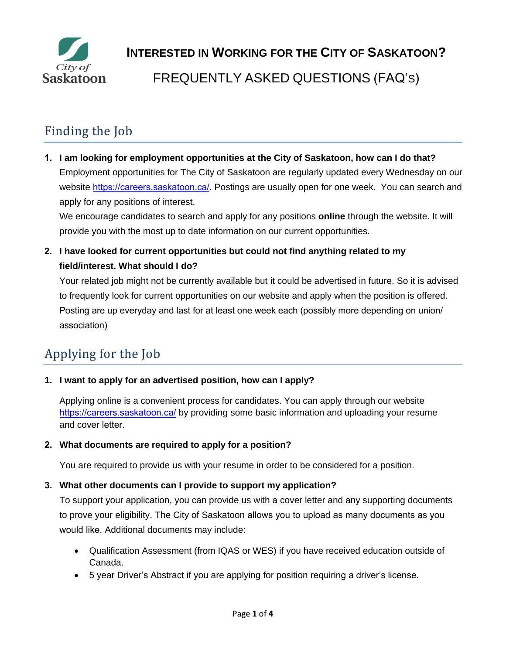

# Finding the Job

**1. I am looking for employment opportunities at the City of Saskatoon, how can I do that?** Employment opportunities for The City of Saskatoon are regularly updated every Wednesday on our website <https://careers.saskatoon.ca/>. Postings are usually open for one week. You can search and apply for any positions of interest.

We encourage candidates to search and apply for any positions **online** through the website. It will provide you with the most up to date information on our current opportunities.

**2. I have looked for current opportunities but could not find anything related to my field/interest. What should I do?**

Your related job might not be currently available but it could be advertised in future. So it is advised to frequently look for current opportunities on our website and apply when the position is offered. Posting are up everyday and last for at least one week each (possibly more depending on union/ association)

# Applying for the Job

**1. [I want to apply for](http://www.saskatoon.ca/) an advertised position, how can I apply?**

Applying online is a convenient process for candidates. You can apply through our website <https://careers.saskatoon.ca/> by providing some basic information and uploading your resume and cover letter.

**2. What documents are required to apply for a position?**

You are required to provide us with your resume in order to be considered for a position.

# **3. What other documents can I provide to support my application?**

To support your application, you can provide us with a cover letter and any supporting documents to prove your eligibility. The City of Saskatoon allows you to upload as many documents as you would like. Additional documents may include:

- Qualification Assessment (from IQAS or WES) if you have received education outside of Canada.
- 5 year Driver's Abstract if you are applying for position requiring a driver's license.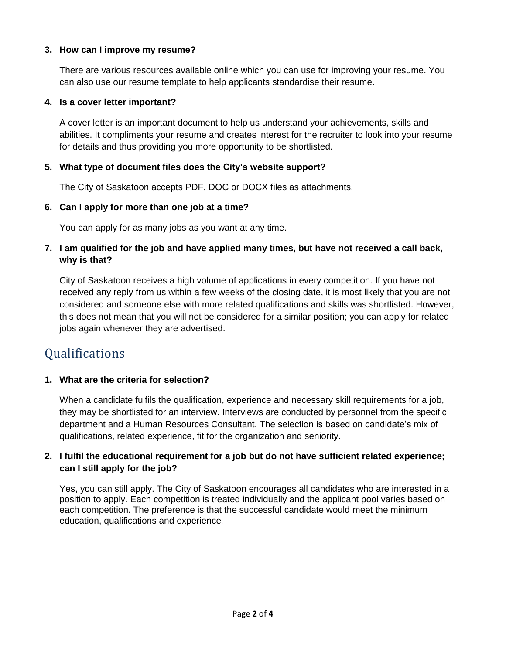### **3. How can I improve my resume?**

There are various resources available online which you can use for improving your resume. You can also use our resume template to help applicants standardise their resume.

### **4. Is a cover letter important?**

A cover letter is an important document to help us understand your achievements, skills and abilities. It compliments your resume and creates interest for the recruiter to look into your resume for details and thus providing you more opportunity to be shortlisted.

### **5. What type of document files does the City's website support?**

The City of Saskatoon accepts PDF, DOC or DOCX files as attachments.

#### **6. Can I apply for more than one job at a time?**

You can apply for as many jobs as you want at any time.

### **7. I am qualified for the job and have applied many times, but have not received a call back, why is that?**

City of Saskatoon receives a high volume of applications in every competition. If you have not received any reply from us within a few weeks of the closing date, it is most likely that you are not considered and someone else with more related qualifications and skills was shortlisted. However, this does not mean that you will not be considered for a similar position; you can apply for related jobs again whenever they are advertised.

# Qualifications

### **1. What are the criteria for selection?**

When a candidate fulfils the qualification, experience and necessary skill requirements for a job, they may be shortlisted for an interview. Interviews are conducted by personnel from the specific department and a Human Resources Consultant. The selection is based on candidate's mix of qualifications, related experience, fit for the organization and seniority.

### **2. I fulfil the educational requirement for a job but do not have sufficient related experience; can I still apply for the job?**

Yes, you can still apply. The City of Saskatoon encourages all candidates who are interested in a position to apply. Each competition is treated individually and the applicant pool varies based on each competition. The preference is that the successful candidate would meet the minimum education, qualifications and experience.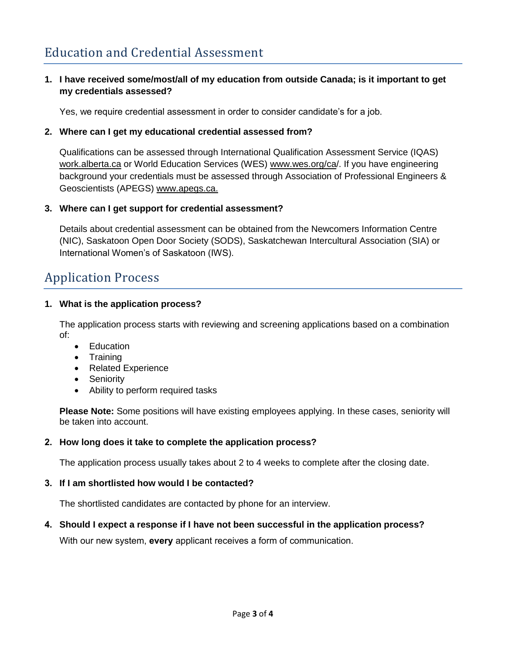# **1. I have received some/most/all of my education from outside Canada; is it important to get my credentials assessed?**

Yes, we require credential assessment in order to consider candidate's for a job.

### **2. Where can I get my educational credential assessed from?**

Qualifications can be assessed through International Qualification Assessment Service (IQAS) work.alberta.ca or World Education Services (WES) www.wes.org/ca/. If you have engineering background your credentials must be assessed through Association of Professional Engineers & Geoscientists (APEGS) www.apegs.ca.

### **3. Where can I get support for credential assessment?**

Details about credential assessment can be obtained from the Newcomers Information Centre (NIC), Saskatoon Open Door Society (SODS), Saskatchewan Intercultural Association (SIA) or International Women's of Saskatoon (IWS).

# Application Process

### **1. What is the application process?**

The application process starts with reviewing and screening applications based on a combination of:

- Education
- Training
- Related Experience
- Seniority
- Ability to perform required tasks

**Please Note:** Some positions will have existing employees applying. In these cases, seniority will be taken into account.

### **2. How long does it take to complete the application process?**

The application process usually takes about 2 to 4 weeks to complete after the closing date.

### **3. If I am shortlisted how would I be contacted?**

The shortlisted candidates are contacted by phone for an interview.

# **4. Should I expect a response if I have not been successful in the application process?**

With our new system, **every** applicant receives a form of communication.